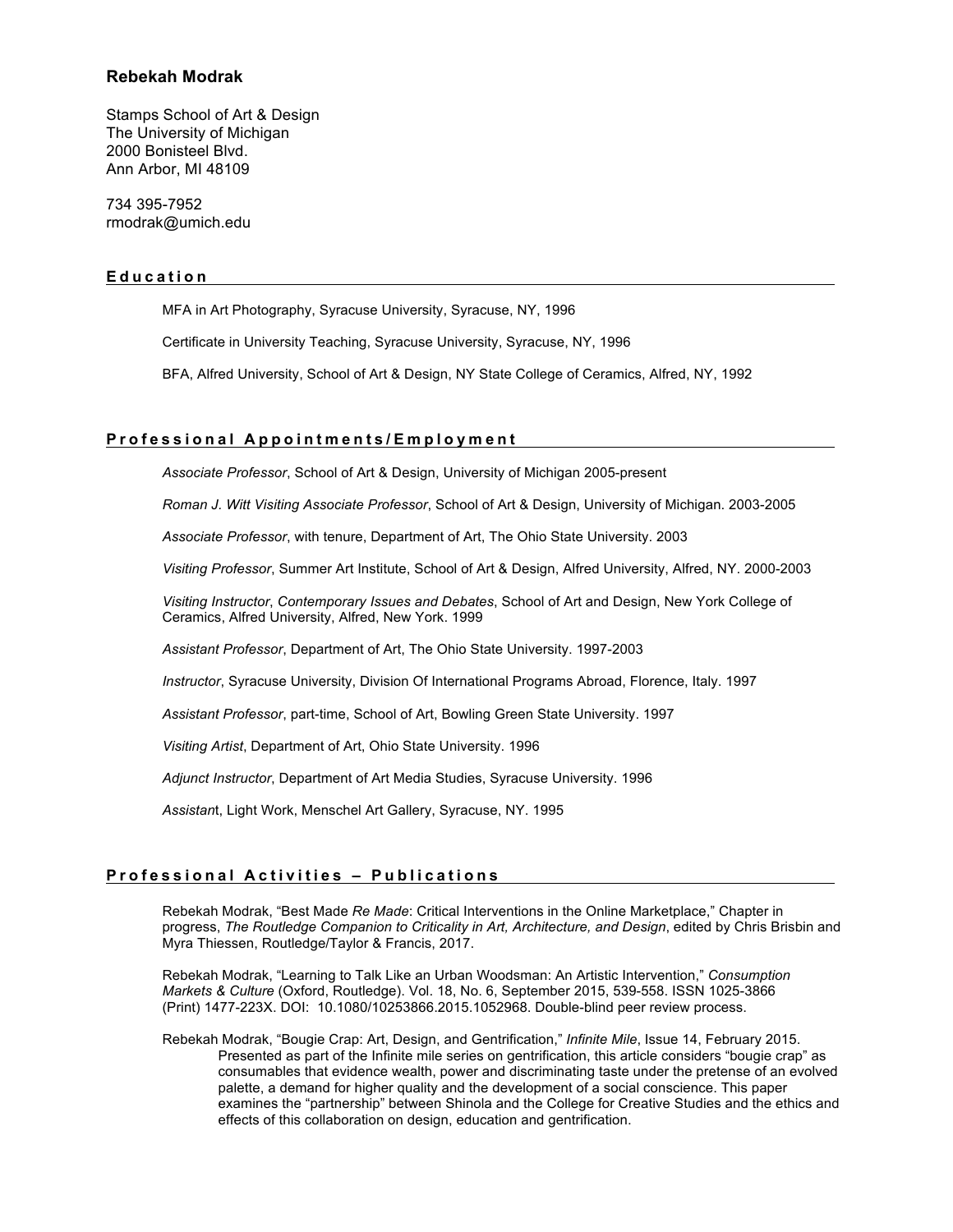# **Rebekah Modrak**

Stamps School of Art & Design The University of Michigan 2000 Bonisteel Blvd. Ann Arbor, MI 48109

734 395-7952 rmodrak@umich.edu

### **Education**

MFA in Art Photography, Syracuse University, Syracuse, NY, 1996 Certificate in University Teaching, Syracuse University, Syracuse, NY, 1996 BFA, Alfred University, School of Art & Design, NY State College of Ceramics, Alfred, NY, 1992

### **Professiona l Appointments/Employment**

*Associate Professor*, School of Art & Design, University of Michigan 2005-present

*Roman J. Witt Visiting Associate Professor*, School of Art & Design, University of Michigan. 2003-2005

*Associate Professor*, with tenure, Department of Art, The Ohio State University. 2003

*Visiting Professor*, Summer Art Institute, School of Art & Design, Alfred University, Alfred, NY. 2000-2003

*Visiting Instructor*, *Contemporary Issues and Debates*, School of Art and Design, New York College of Ceramics, Alfred University, Alfred, New York. 1999

*Assistant Professor*, Department of Art, The Ohio State University. 1997-2003

*Instructor*, Syracuse University, Division Of International Programs Abroad, Florence, Italy. 1997

*Assistant Professor*, part-time, School of Art, Bowling Green State University. 1997

*Visiting Artist*, Department of Art, Ohio State University. 1996

*Adjunct Instructor*, Department of Art Media Studies, Syracuse University. 1996

*Assistan*t, Light Work, Menschel Art Gallery, Syracuse, NY. 1995

## **Professional Activities – Publications**

Rebekah Modrak, "Best Made *Re Made*: Critical Interventions in the Online Marketplace," Chapter in progress, *The Routledge Companion to Criticality in Art, Architecture, and Design*, edited by Chris Brisbin and Myra Thiessen, Routledge/Taylor & Francis, 2017.

Rebekah Modrak, "Learning to Talk Like an Urban Woodsman: An Artistic Intervention," *Consumption Markets & Culture* (Oxford, Routledge). Vol. 18, No. 6, September 2015, 539-558. ISSN 1025-3866 (Print) 1477-223X. DOI: 10.1080/10253866.2015.1052968. Double-blind peer review process.

Rebekah Modrak, "Bougie Crap: Art, Design, and Gentrification," *Infinite Mile*, Issue 14, February 2015. Presented as part of the Infinite mile series on gentrification, this article considers "bougie crap" as consumables that evidence wealth, power and discriminating taste under the pretense of an evolved palette, a demand for higher quality and the development of a social conscience. This paper examines the "partnership" between Shinola and the College for Creative Studies and the ethics and effects of this collaboration on design, education and gentrification.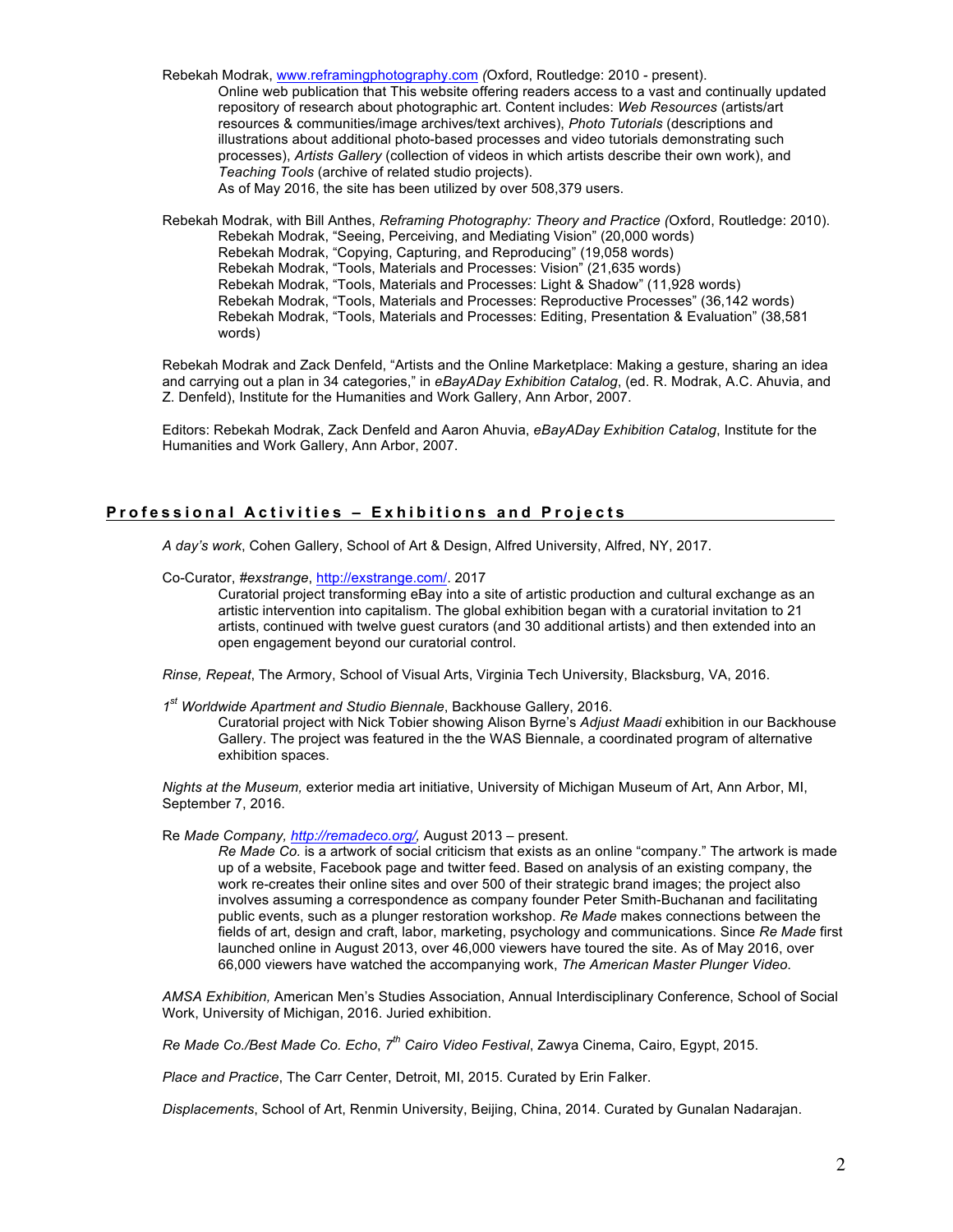Rebekah Modrak, www.reframingphotography.com *(*Oxford, Routledge: 2010 - present).

Online web publication that This website offering readers access to a vast and continually updated repository of research about photographic art. Content includes: *Web Resources* (artists/art resources & communities/image archives/text archives), *Photo Tutorials* (descriptions and illustrations about additional photo-based processes and video tutorials demonstrating such processes), *Artists Gallery* (collection of videos in which artists describe their own work), and *Teaching Tools* (archive of related studio projects). As of May 2016, the site has been utilized by over 508,379 users.

Rebekah Modrak, with Bill Anthes, *Reframing Photography: Theory and Practice (*Oxford, Routledge: 2010). Rebekah Modrak, "Seeing, Perceiving, and Mediating Vision" (20,000 words) Rebekah Modrak, "Copying, Capturing, and Reproducing" (19,058 words) Rebekah Modrak, "Tools, Materials and Processes: Vision" (21,635 words) Rebekah Modrak, "Tools, Materials and Processes: Light & Shadow" (11,928 words) Rebekah Modrak, "Tools, Materials and Processes: Reproductive Processes" (36,142 words) Rebekah Modrak, "Tools, Materials and Processes: Editing, Presentation & Evaluation" (38,581 words)

Rebekah Modrak and Zack Denfeld, "Artists and the Online Marketplace: Making a gesture, sharing an idea and carrying out a plan in 34 categories," in *eBayADay Exhibition Catalog*, (ed. R. Modrak, A.C. Ahuvia, and Z. Denfeld), Institute for the Humanities and Work Gallery, Ann Arbor, 2007.

Editors: Rebekah Modrak, Zack Denfeld and Aaron Ahuvia, *eBayADay Exhibition Catalog*, Institute for the Humanities and Work Gallery, Ann Arbor, 2007.

# **Professional Activities – Exhibitions and Projects**

*A day's work*, Cohen Gallery, School of Art & Design, Alfred University, Alfred, NY, 2017.

Co-Curator, *#exstrange*, http://exstrange.com/. 2017

Curatorial project transforming eBay into a site of artistic production and cultural exchange as an artistic intervention into capitalism. The global exhibition began with a curatorial invitation to 21 artists, continued with twelve guest curators (and 30 additional artists) and then extended into an open engagement beyond our curatorial control.

*Rinse, Repeat*, The Armory, School of Visual Arts, Virginia Tech University, Blacksburg, VA, 2016.

*1st Worldwide Apartment and Studio Biennale*, Backhouse Gallery, 2016.

Curatorial project with Nick Tobier showing Alison Byrne's *Adjust Maadi* exhibition in our Backhouse Gallery. The project was featured in the the WAS Biennale, a coordinated program of alternative exhibition spaces.

*Nights at the Museum,* exterior media art initiative, University of Michigan Museum of Art, Ann Arbor, MI, September 7, 2016.

Re *Made Company, http://remadeco.org/,* August 2013 – present.

*Re Made Co.* is a artwork of social criticism that exists as an online "company." The artwork is made up of a website, Facebook page and twitter feed. Based on analysis of an existing company, the work re-creates their online sites and over 500 of their strategic brand images; the project also involves assuming a correspondence as company founder Peter Smith-Buchanan and facilitating public events, such as a plunger restoration workshop. *Re Made* makes connections between the fields of art, design and craft, labor, marketing, psychology and communications. Since *Re Made* first launched online in August 2013, over 46,000 viewers have toured the site. As of May 2016, over 66,000 viewers have watched the accompanying work, *The American Master Plunger Video*.

*AMSA Exhibition,* American Men's Studies Association, Annual Interdisciplinary Conference, School of Social Work, University of Michigan, 2016. Juried exhibition.

*Re Made Co./Best Made Co. Echo*, *7th Cairo Video Festival*, Zawya Cinema, Cairo, Egypt, 2015.

*Place and Practice*, The Carr Center, Detroit, MI, 2015. Curated by Erin Falker.

*Displacements*, School of Art, Renmin University, Beijing, China, 2014. Curated by Gunalan Nadarajan.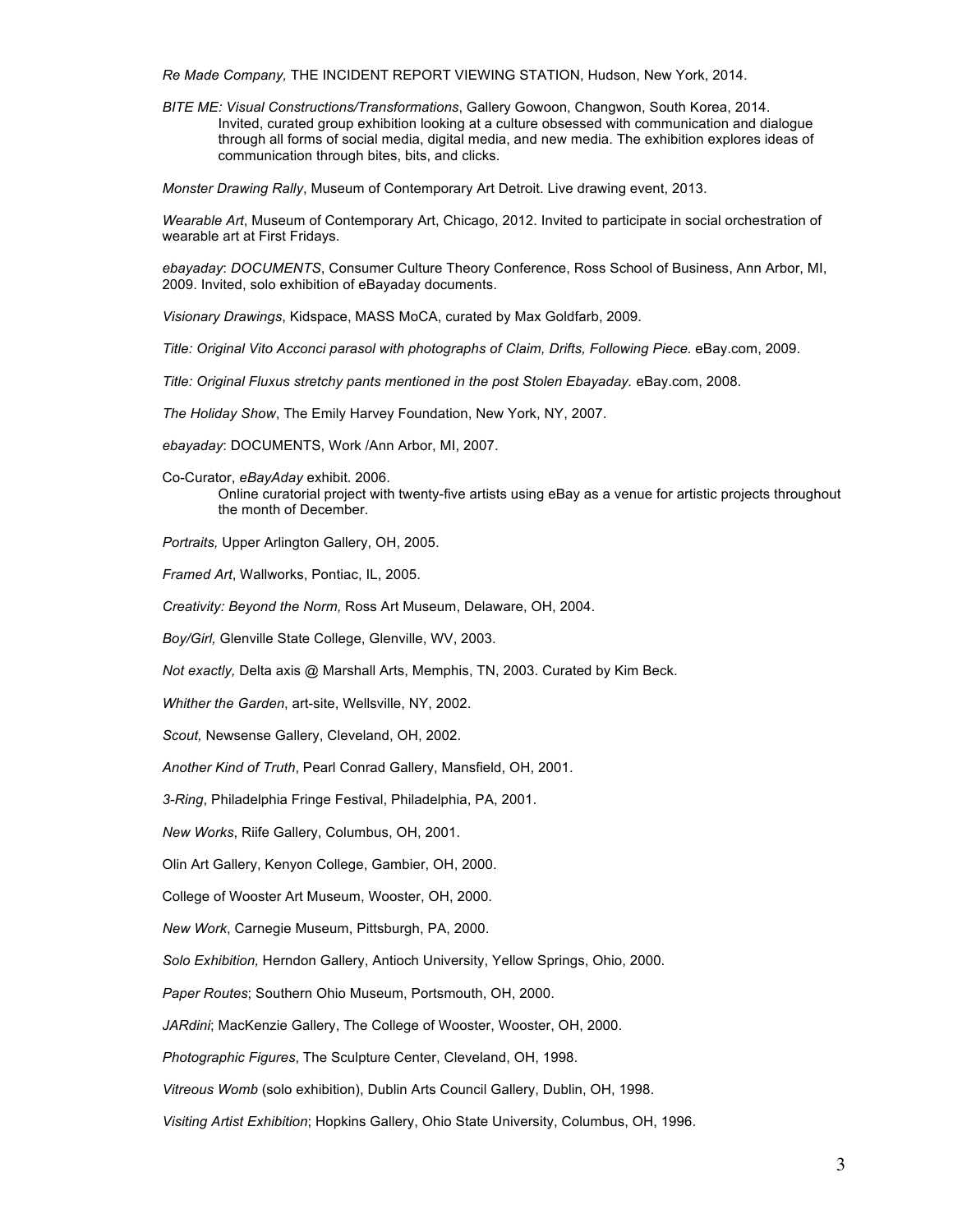*Re Made Company,* THE INCIDENT REPORT VIEWING STATION, Hudson, New York, 2014.

*BITE ME: Visual Constructions/Transformations*, Gallery Gowoon, Changwon, South Korea, 2014. Invited, curated group exhibition looking at a culture obsessed with communication and dialogue through all forms of social media, digital media, and new media. The exhibition explores ideas of communication through bites, bits, and clicks.

*Monster Drawing Rally*, Museum of Contemporary Art Detroit. Live drawing event, 2013.

*Wearable Art*, Museum of Contemporary Art, Chicago, 2012. Invited to participate in social orchestration of wearable art at First Fridays.

*ebayaday*: *DOCUMENTS*, Consumer Culture Theory Conference, Ross School of Business, Ann Arbor, MI, 2009. Invited, solo exhibition of eBayaday documents.

*Visionary Drawings*, Kidspace, MASS MoCA, curated by Max Goldfarb, 2009.

*Title: Original Vito Acconci parasol with photographs of Claim, Drifts, Following Piece.* eBay.com, 2009.

*Title: Original Fluxus stretchy pants mentioned in the post Stolen Ebayaday.* eBay.com, 2008.

*The Holiday Show*, The Emily Harvey Foundation, New York, NY, 2007.

*ebayaday*: DOCUMENTS, Work /Ann Arbor, MI, 2007.

Co-Curator, *eBayAday* exhibit. 2006. Online curatorial project with twenty-five artists using eBay as a venue for artistic projects throughout the month of December.

*Portraits,* Upper Arlington Gallery, OH, 2005.

*Framed Art*, Wallworks, Pontiac, IL, 2005.

*Creativity: Beyond the Norm,* Ross Art Museum, Delaware, OH, 2004.

*Boy/Girl,* Glenville State College, Glenville, WV, 2003.

*Not exactly,* Delta axis @ Marshall Arts, Memphis, TN, 2003. Curated by Kim Beck.

*Whither the Garden*, art-site, Wellsville, NY, 2002.

*Scout,* Newsense Gallery, Cleveland, OH, 2002.

*Another Kind of Truth*, Pearl Conrad Gallery, Mansfield, OH, 2001.

*3-Ring*, Philadelphia Fringe Festival, Philadelphia, PA, 2001.

*New Works*, Riife Gallery, Columbus, OH, 2001.

Olin Art Gallery, Kenyon College, Gambier, OH, 2000.

College of Wooster Art Museum, Wooster, OH, 2000.

*New Work*, Carnegie Museum, Pittsburgh, PA, 2000.

*Solo Exhibition,* Herndon Gallery, Antioch University, Yellow Springs, Ohio, 2000.

*Paper Routes*; Southern Ohio Museum, Portsmouth, OH, 2000.

*JARdini*; MacKenzie Gallery, The College of Wooster, Wooster, OH, 2000.

*Photographic Figures*, The Sculpture Center, Cleveland, OH, 1998.

*Vitreous Womb* (solo exhibition), Dublin Arts Council Gallery, Dublin, OH, 1998.

*Visiting Artist Exhibition*; Hopkins Gallery, Ohio State University, Columbus, OH, 1996.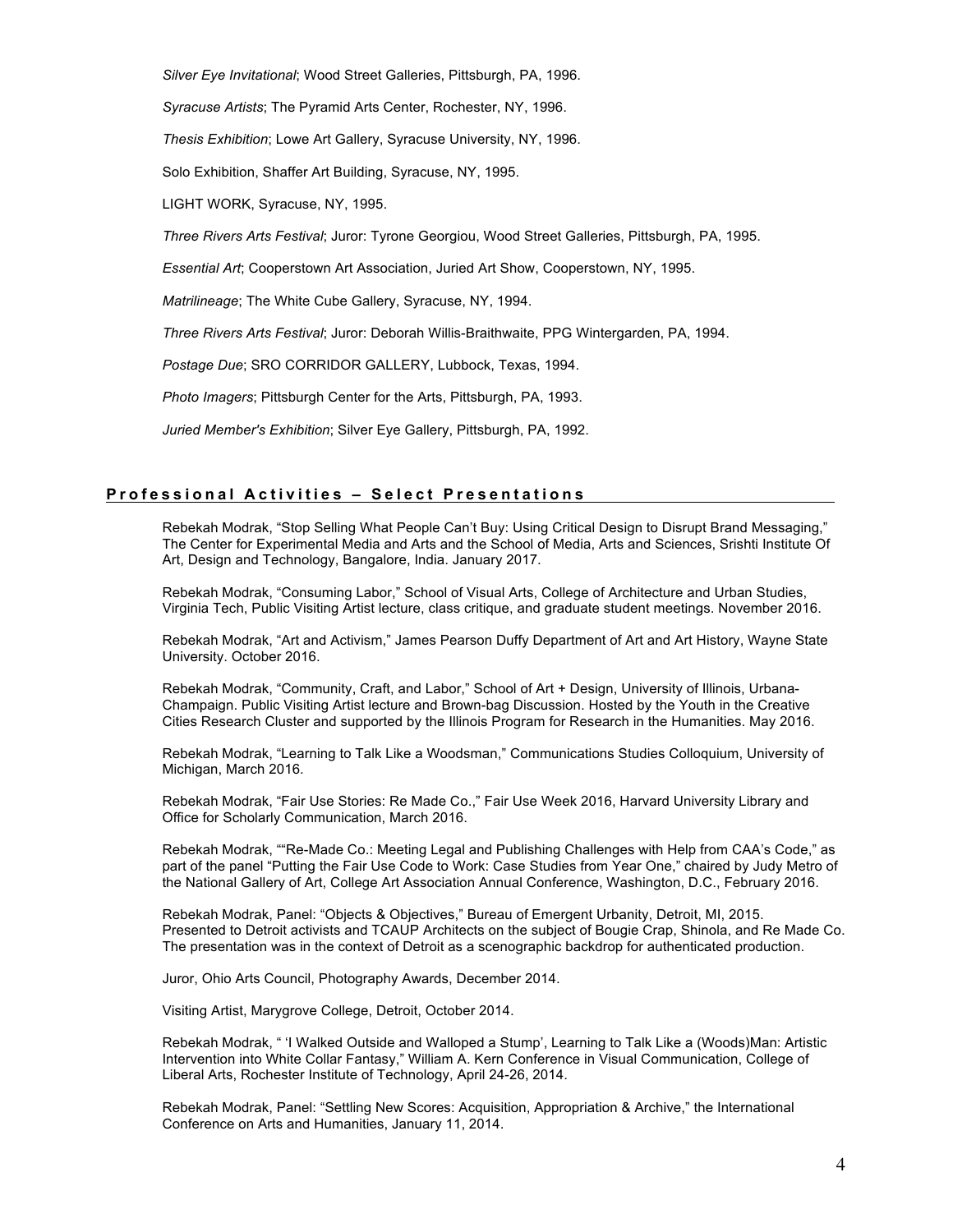*Silver Eye Invitational*; Wood Street Galleries, Pittsburgh, PA, 1996.

*Syracuse Artists*; The Pyramid Arts Center, Rochester, NY, 1996.

*Thesis Exhibition*; Lowe Art Gallery, Syracuse University, NY, 1996.

Solo Exhibition, Shaffer Art Building, Syracuse, NY, 1995.

LIGHT WORK, Syracuse, NY, 1995.

*Three Rivers Arts Festival*; Juror: Tyrone Georgiou, Wood Street Galleries, Pittsburgh, PA, 1995.

*Essential Art*; Cooperstown Art Association, Juried Art Show, Cooperstown, NY, 1995.

*Matrilineage*; The White Cube Gallery, Syracuse, NY, 1994.

*Three Rivers Arts Festival*; Juror: Deborah Willis-Braithwaite, PPG Wintergarden, PA, 1994.

*Postage Due*; SRO CORRIDOR GALLERY, Lubbock, Texas, 1994.

*Photo Imagers*; Pittsburgh Center for the Arts, Pittsburgh, PA, 1993.

*Juried Member's Exhibition*; Silver Eye Gallery, Pittsburgh, PA, 1992.

### **Professional A ctivities – Select Presentations**

Rebekah Modrak, "Stop Selling What People Can't Buy: Using Critical Design to Disrupt Brand Messaging," The Center for Experimental Media and Arts and the School of Media, Arts and Sciences, Srishti Institute Of Art, Design and Technology, Bangalore, India. January 2017.

Rebekah Modrak, "Consuming Labor," School of Visual Arts, College of Architecture and Urban Studies, Virginia Tech, Public Visiting Artist lecture, class critique, and graduate student meetings. November 2016.

Rebekah Modrak, "Art and Activism," James Pearson Duffy Department of Art and Art History, Wayne State University. October 2016.

Rebekah Modrak, "Community, Craft, and Labor," School of Art + Design, University of Illinois, Urbana-Champaign. Public Visiting Artist lecture and Brown-bag Discussion. Hosted by the Youth in the Creative Cities Research Cluster and supported by the Illinois Program for Research in the Humanities. May 2016.

Rebekah Modrak, "Learning to Talk Like a Woodsman," Communications Studies Colloquium, University of Michigan, March 2016.

Rebekah Modrak, "Fair Use Stories: Re Made Co.," Fair Use Week 2016, Harvard University Library and Office for Scholarly Communication, March 2016.

Rebekah Modrak, ""Re-Made Co.: Meeting Legal and Publishing Challenges with Help from CAA's Code," as part of the panel "Putting the Fair Use Code to Work: Case Studies from Year One," chaired by Judy Metro of the National Gallery of Art, College Art Association Annual Conference, Washington, D.C., February 2016.

Rebekah Modrak, Panel: "Objects & Objectives," Bureau of Emergent Urbanity, Detroit, MI, 2015. Presented to Detroit activists and TCAUP Architects on the subject of Bougie Crap, Shinola, and Re Made Co. The presentation was in the context of Detroit as a scenographic backdrop for authenticated production.

Juror, Ohio Arts Council, Photography Awards, December 2014.

Visiting Artist, Marygrove College, Detroit, October 2014.

Rebekah Modrak, " 'I Walked Outside and Walloped a Stump', Learning to Talk Like a (Woods)Man: Artistic Intervention into White Collar Fantasy," William A. Kern Conference in Visual Communication, College of Liberal Arts, Rochester Institute of Technology, April 24-26, 2014.

Rebekah Modrak, Panel: "Settling New Scores: Acquisition, Appropriation & Archive," the International Conference on Arts and Humanities, January 11, 2014.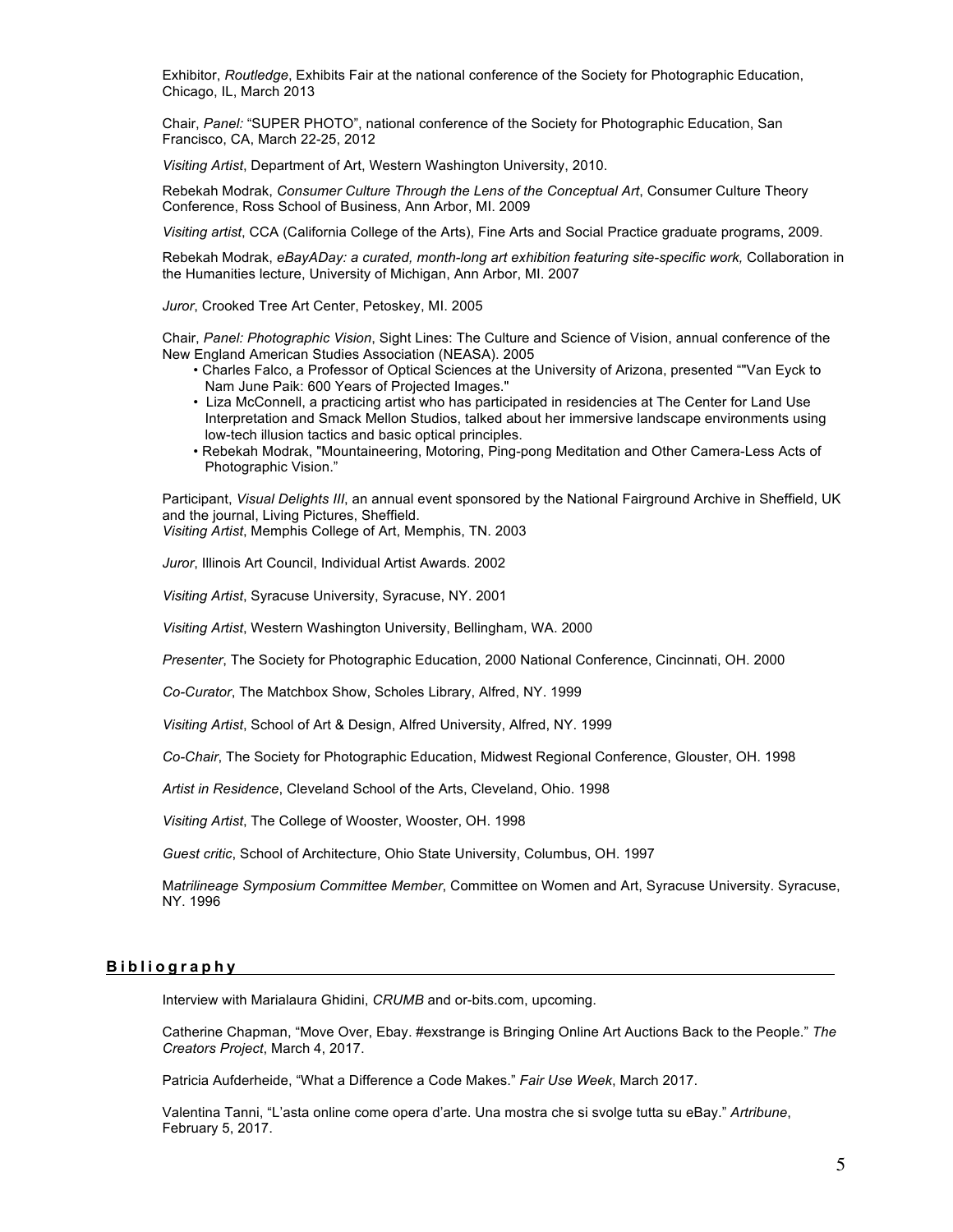Exhibitor, *Routledge*, Exhibits Fair at the national conference of the Society for Photographic Education, Chicago, IL, March 2013

Chair, *Panel:* "SUPER PHOTO", national conference of the Society for Photographic Education, San Francisco, CA, March 22-25, 2012

*Visiting Artist*, Department of Art, Western Washington University, 2010.

Rebekah Modrak, *Consumer Culture Through the Lens of the Conceptual Art*, Consumer Culture Theory Conference, Ross School of Business, Ann Arbor, MI. 2009

*Visiting artist*, CCA (California College of the Arts), Fine Arts and Social Practice graduate programs, 2009.

Rebekah Modrak, *eBayADay: a curated, month-long art exhibition featuring site-specific work,* Collaboration in the Humanities lecture, University of Michigan, Ann Arbor, MI. 2007

*Juror*, Crooked Tree Art Center, Petoskey, MI. 2005

Chair, *Panel: Photographic Vision*, Sight Lines: The Culture and Science of Vision, annual conference of the New England American Studies Association (NEASA). 2005

- Charles Falco, a Professor of Optical Sciences at the University of Arizona, presented ""Van Eyck to Nam June Paik: 600 Years of Projected Images."
- Liza McConnell, a practicing artist who has participated in residencies at The Center for Land Use Interpretation and Smack Mellon Studios, talked about her immersive landscape environments using low-tech illusion tactics and basic optical principles.
- Rebekah Modrak, "Mountaineering, Motoring, Ping-pong Meditation and Other Camera-Less Acts of Photographic Vision."

Participant, *Visual Delights III*, an annual event sponsored by the National Fairground Archive in Sheffield, UK and the journal, Living Pictures, Sheffield.

*Visiting Artist*, Memphis College of Art, Memphis, TN. 2003

*Juror*, Illinois Art Council, Individual Artist Awards. 2002

*Visiting Artist*, Syracuse University, Syracuse, NY. 2001

*Visiting Artist*, Western Washington University, Bellingham, WA. 2000

*Presenter*, The Society for Photographic Education, 2000 National Conference, Cincinnati, OH. 2000

*Co-Curator*, The Matchbox Show, Scholes Library, Alfred, NY. 1999

*Visiting Artist*, School of Art & Design, Alfred University, Alfred, NY. 1999

*Co-Chair*, The Society for Photographic Education, Midwest Regional Conference, Glouster, OH. 1998

*Artist in Residence*, Cleveland School of the Arts, Cleveland, Ohio. 1998

*Visiting Artist*, The College of Wooster, Wooster, OH. 1998

*Guest critic*, School of Architecture, Ohio State University, Columbus, OH. 1997

M*atrilineage Symposium Committee Member*, Committee on Women and Art, Syracuse University. Syracuse, NY. 1996

### **Bibliography**

Interview with Marialaura Ghidini, *CRUMB* and or-bits.com, upcoming.

Catherine Chapman, "Move Over, Ebay. #exstrange is Bringing Online Art Auctions Back to the People." *The Creators Project*, March 4, 2017.

Patricia Aufderheide, "What a Difference a Code Makes." *Fair Use Week*, March 2017.

Valentina Tanni, "L'asta online come opera d'arte. Una mostra che si svolge tutta su eBay." *Artribune*, February 5, 2017.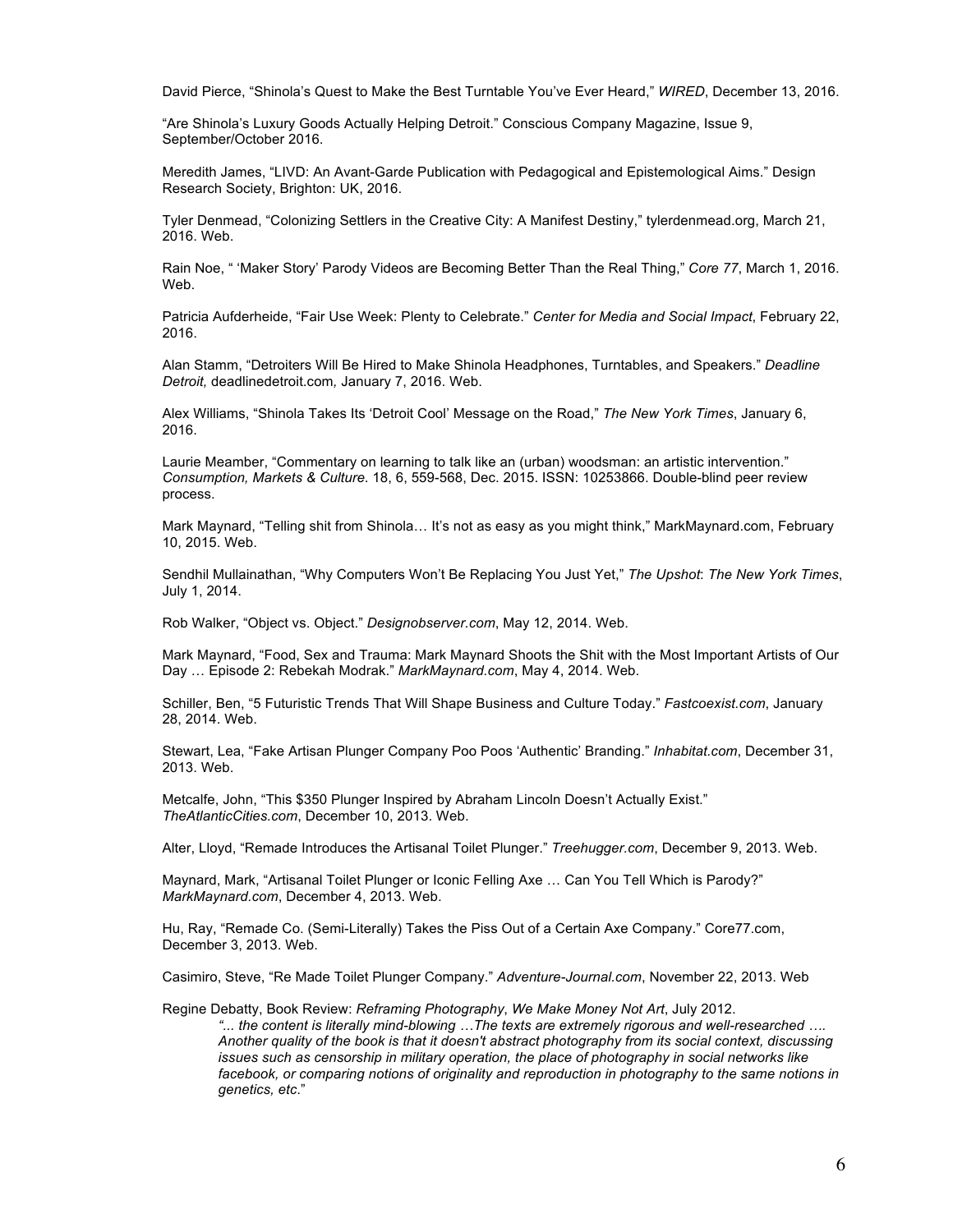David Pierce, "Shinola's Quest to Make the Best Turntable You've Ever Heard," *WIRED*, December 13, 2016.

"Are Shinola's Luxury Goods Actually Helping Detroit." Conscious Company Magazine, Issue 9, September/October 2016.

Meredith James, "LIVD: An Avant-Garde Publication with Pedagogical and Epistemological Aims." Design Research Society, Brighton: UK, 2016.

Tyler Denmead, "Colonizing Settlers in the Creative City: A Manifest Destiny," tylerdenmead.org, March 21, 2016. Web.

Rain Noe, " 'Maker Story' Parody Videos are Becoming Better Than the Real Thing," *Core 77*, March 1, 2016. Web.

Patricia Aufderheide, "Fair Use Week: Plenty to Celebrate." *Center for Media and Social Impact*, February 22, 2016.

Alan Stamm, "Detroiters Will Be Hired to Make Shinola Headphones, Turntables, and Speakers." *Deadline Detroit,* deadlinedetroit.com*,* January 7, 2016. Web.

Alex Williams, "Shinola Takes Its 'Detroit Cool' Message on the Road," *The New York Times*, January 6, 2016.

Laurie Meamber, "Commentary on learning to talk like an (urban) woodsman: an artistic intervention." *Consumption, Markets & Culture*. 18, 6, 559-568, Dec. 2015. ISSN: 10253866. Double-blind peer review process.

Mark Maynard, "Telling shit from Shinola… It's not as easy as you might think," MarkMaynard.com, February 10, 2015. Web.

Sendhil Mullainathan, "Why Computers Won't Be Replacing You Just Yet," *The Upshot*: *The New York Times*, July 1, 2014.

Rob Walker, "Object vs. Object." *Designobserver.com*, May 12, 2014. Web.

Mark Maynard, "Food, Sex and Trauma: Mark Maynard Shoots the Shit with the Most Important Artists of Our Day … Episode 2: Rebekah Modrak." *MarkMaynard.com*, May 4, 2014. Web.

Schiller, Ben, "5 Futuristic Trends That Will Shape Business and Culture Today." *Fastcoexist.com*, January 28, 2014. Web.

Stewart, Lea, "Fake Artisan Plunger Company Poo Poos 'Authentic' Branding." *Inhabitat.com*, December 31, 2013. Web.

Metcalfe, John, "This \$350 Plunger Inspired by Abraham Lincoln Doesn't Actually Exist." *TheAtlanticCities.com*, December 10, 2013. Web.

Alter, Lloyd, "Remade Introduces the Artisanal Toilet Plunger." *Treehugger.com*, December 9, 2013. Web.

Maynard, Mark, "Artisanal Toilet Plunger or Iconic Felling Axe … Can You Tell Which is Parody?" *MarkMaynard.com*, December 4, 2013. Web.

Hu, Ray, "Remade Co. (Semi-Literally) Takes the Piss Out of a Certain Axe Company." Core77.com, December 3, 2013. Web.

Casimiro, Steve, "Re Made Toilet Plunger Company." *Adventure-Journal.com*, November 22, 2013. Web

Regine Debatty, Book Review: *Reframing Photography*, *We Make Money Not Art*, July 2012. *"... the content is literally mind-blowing …The texts are extremely rigorous and well-researched …. Another quality of the book is that it doesn't abstract photography from its social context, discussing issues such as censorship in military operation, the place of photography in social networks like*  facebook, or comparing notions of originality and reproduction in photography to the same notions in *genetics, etc*."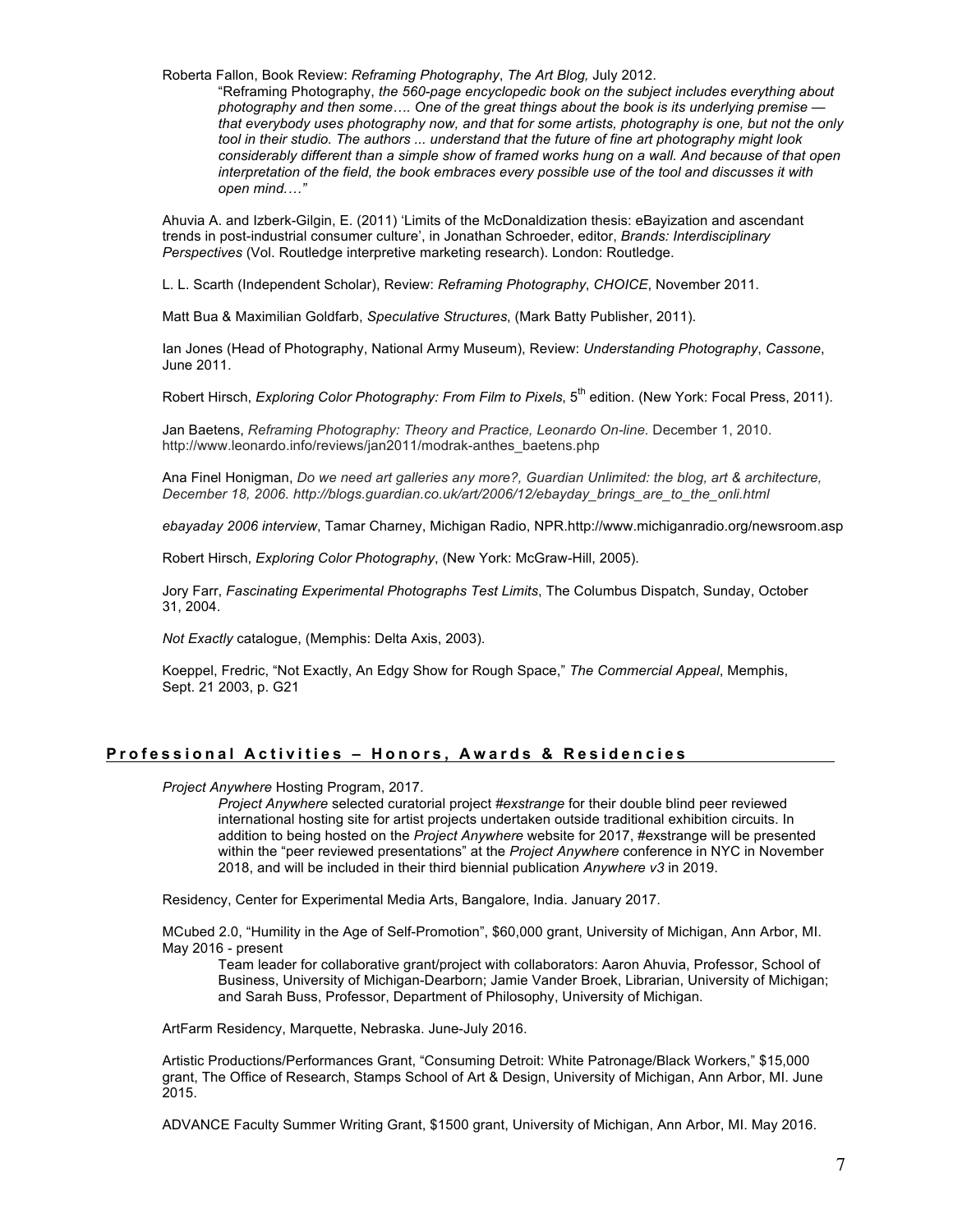Roberta Fallon, Book Review: *Reframing Photography*, *The Art Blog,* July 2012.

"Reframing Photography, *the 560-page encyclopedic book on the subject includes everything about photography and then some…. One of the great things about the book is its underlying premise that everybody uses photography now, and that for some artists, photography is one, but not the only tool in their studio. The authors ... understand that the future of fine art photography might look considerably different than a simple show of framed works hung on a wall. And because of that open interpretation of the field, the book embraces every possible use of the tool and discusses it with open mind.…"*

Ahuvia A. and Izberk-Gilgin, E. (2011) 'Limits of the McDonaldization thesis: eBayization and ascendant trends in post-industrial consumer culture', in Jonathan Schroeder, editor, *Brands: Interdisciplinary Perspectives* (Vol. Routledge interpretive marketing research). London: Routledge.

L. L. Scarth (Independent Scholar), Review: *Reframing Photography*, *CHOICE*, November 2011.

Matt Bua & Maximilian Goldfarb, *Speculative Structures*, (Mark Batty Publisher, 2011).

Ian Jones (Head of Photography, National Army Museum), Review: *Understanding Photography*, *Cassone*, June 2011.

Robert Hirsch, *Exploring Color Photography: From Film to Pixels*, 5<sup>th</sup> edition. (New York: Focal Press, 2011).

Jan Baetens, *Reframing Photography: Theory and Practice, Leonardo On-line. December 1, 2010.* http://www.leonardo.info/reviews/jan2011/modrak-anthes\_baetens.php

Ana Finel Honigman, *Do we need art galleries any more?, Guardian Unlimited: the blog, art & architecture, December 18, 2006. http://blogs.guardian.co.uk/art/2006/12/ebayday\_brings\_are\_to\_the\_onli.html*

*ebayaday 2006 interview*, Tamar Charney, Michigan Radio, NPR.http://www.michiganradio.org/newsroom.asp

Robert Hirsch, *Exploring Color Photography*, (New York: McGraw-Hill, 2005).

Jory Farr, *Fascinating Experimental Photographs Test Limits*, The Columbus Dispatch, Sunday, October 31, 2004.

*Not Exactly* catalogue, (Memphis: Delta Axis, 2003).

Koeppel, Fredric, "Not Exactly, An Edgy Show for Rough Space," *The Commercial Appeal*, Memphis, Sept. 21 2003, p. G21

## **Professional Activities – H onors, Awards & Residencies**

*Project Anywhere* Hosting Program, 2017.

*Project Anywhere* selected curatorial project *#exstrange* for their double blind peer reviewed international hosting site for artist projects undertaken outside traditional exhibition circuits. In addition to being hosted on the *Project Anywhere* website for 2017, #exstrange will be presented within the "peer reviewed presentations" at the *Project Anywhere* conference in NYC in November 2018, and will be included in their third biennial publication *Anywhere v3* in 2019.

Residency, Center for Experimental Media Arts, Bangalore, India. January 2017.

MCubed 2.0, "Humility in the Age of Self-Promotion", \$60,000 grant, University of Michigan, Ann Arbor, MI. May 2016 - present

Team leader for collaborative grant/project with collaborators: Aaron Ahuvia, Professor, School of Business, University of Michigan-Dearborn; Jamie Vander Broek, Librarian, University of Michigan; and Sarah Buss, Professor, Department of Philosophy, University of Michigan.

ArtFarm Residency, Marquette, Nebraska. June-July 2016.

Artistic Productions/Performances Grant, "Consuming Detroit: White Patronage/Black Workers," \$15,000 grant, The Office of Research, Stamps School of Art & Design, University of Michigan, Ann Arbor, MI. June 2015.

ADVANCE Faculty Summer Writing Grant, \$1500 grant, University of Michigan, Ann Arbor, MI. May 2016.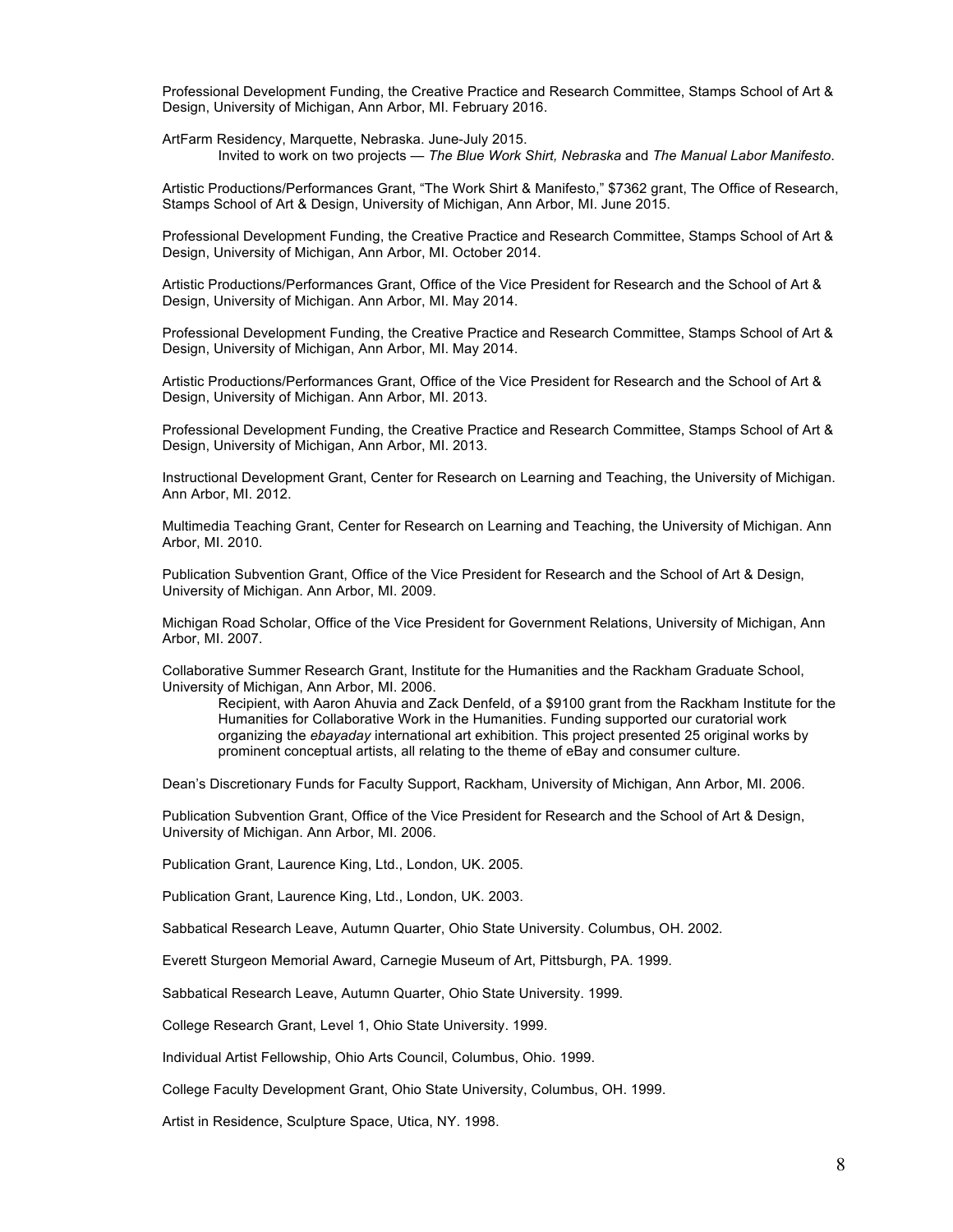Professional Development Funding, the Creative Practice and Research Committee, Stamps School of Art & Design, University of Michigan, Ann Arbor, MI. February 2016.

ArtFarm Residency, Marquette, Nebraska. June-July 2015. Invited to work on two projects — *The Blue Work Shirt, Nebraska* and *The Manual Labor Manifesto*.

Artistic Productions/Performances Grant, "The Work Shirt & Manifesto," \$7362 grant, The Office of Research, Stamps School of Art & Design, University of Michigan, Ann Arbor, MI. June 2015.

Professional Development Funding, the Creative Practice and Research Committee, Stamps School of Art & Design, University of Michigan, Ann Arbor, MI. October 2014.

Artistic Productions/Performances Grant, Office of the Vice President for Research and the School of Art & Design, University of Michigan. Ann Arbor, MI. May 2014.

Professional Development Funding, the Creative Practice and Research Committee, Stamps School of Art & Design, University of Michigan, Ann Arbor, MI. May 2014.

Artistic Productions/Performances Grant, Office of the Vice President for Research and the School of Art & Design, University of Michigan. Ann Arbor, MI. 2013.

Professional Development Funding, the Creative Practice and Research Committee, Stamps School of Art & Design, University of Michigan, Ann Arbor, MI. 2013.

Instructional Development Grant, Center for Research on Learning and Teaching, the University of Michigan. Ann Arbor, MI. 2012.

Multimedia Teaching Grant, Center for Research on Learning and Teaching, the University of Michigan. Ann Arbor, MI. 2010.

Publication Subvention Grant, Office of the Vice President for Research and the School of Art & Design, University of Michigan. Ann Arbor, MI. 2009.

Michigan Road Scholar, Office of the Vice President for Government Relations, University of Michigan, Ann Arbor, MI. 2007.

Collaborative Summer Research Grant, Institute for the Humanities and the Rackham Graduate School, University of Michigan, Ann Arbor, MI. 2006.

Recipient, with Aaron Ahuvia and Zack Denfeld, of a \$9100 grant from the Rackham Institute for the Humanities for Collaborative Work in the Humanities. Funding supported our curatorial work organizing the *ebayaday* international art exhibition. This project presented 25 original works by prominent conceptual artists, all relating to the theme of eBay and consumer culture.

Dean's Discretionary Funds for Faculty Support, Rackham, University of Michigan, Ann Arbor, MI. 2006.

Publication Subvention Grant, Office of the Vice President for Research and the School of Art & Design, University of Michigan. Ann Arbor, MI. 2006.

Publication Grant, Laurence King, Ltd., London, UK. 2005.

Publication Grant, Laurence King, Ltd., London, UK. 2003.

Sabbatical Research Leave, Autumn Quarter, Ohio State University. Columbus, OH. 2002.

Everett Sturgeon Memorial Award, Carnegie Museum of Art, Pittsburgh, PA. 1999.

Sabbatical Research Leave, Autumn Quarter, Ohio State University. 1999.

College Research Grant, Level 1, Ohio State University. 1999.

Individual Artist Fellowship, Ohio Arts Council, Columbus, Ohio. 1999.

College Faculty Development Grant, Ohio State University, Columbus, OH. 1999.

Artist in Residence, Sculpture Space, Utica, NY. 1998.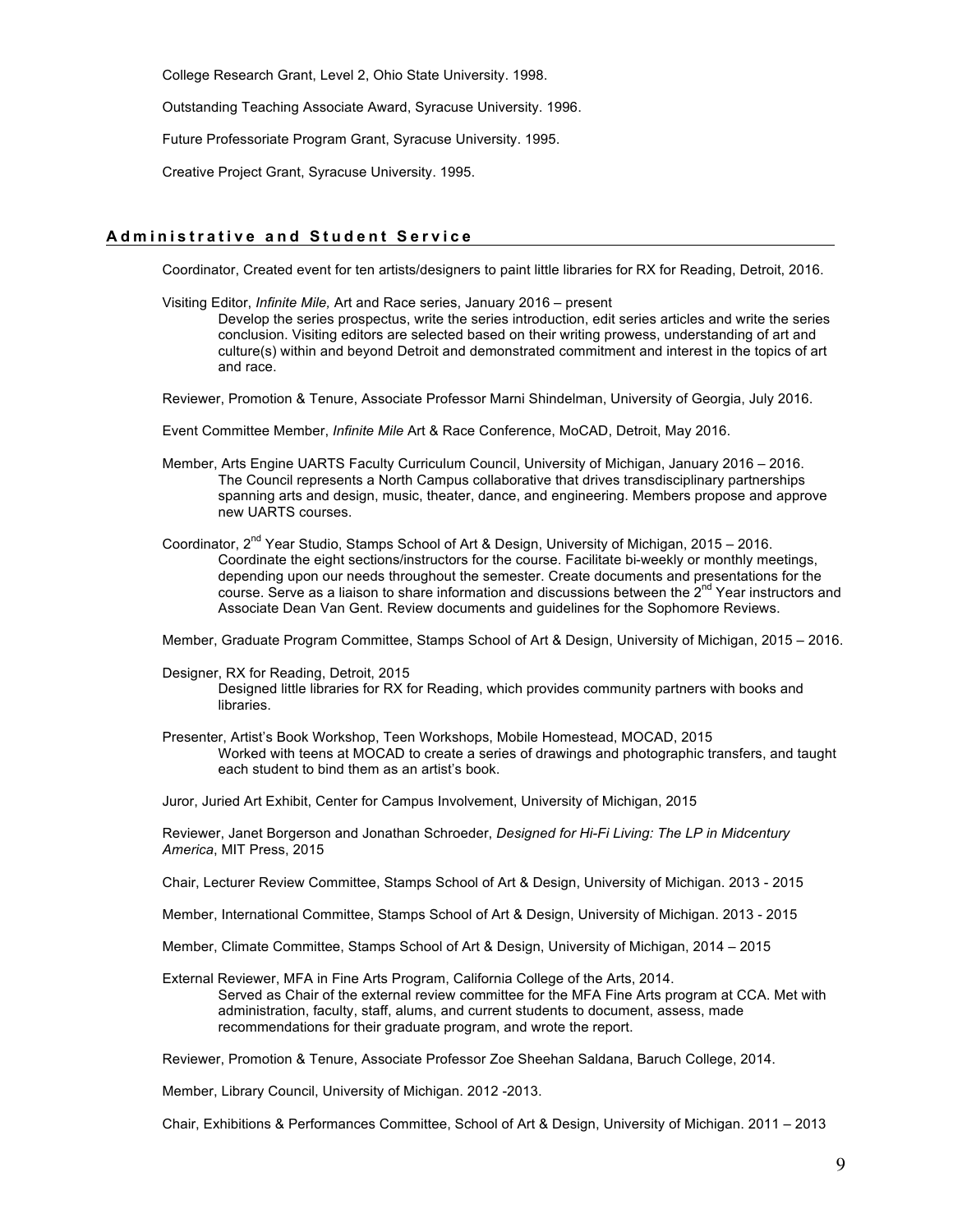College Research Grant, Level 2, Ohio State University. 1998.

Outstanding Teaching Associate Award, Syracuse University. 1996.

Future Professoriate Program Grant, Syracuse University. 1995.

Creative Project Grant, Syracuse University. 1995.

#### **Administrative and Student Service**

Coordinator, Created event for ten artists/designers to paint little libraries for RX for Reading, Detroit, 2016.

Visiting Editor, *Infinite Mile,* Art and Race series, January 2016 – present Develop the series prospectus, write the series introduction, edit series articles and write the series

conclusion. Visiting editors are selected based on their writing prowess, understanding of art and culture(s) within and beyond Detroit and demonstrated commitment and interest in the topics of art and race.

Reviewer, Promotion & Tenure, Associate Professor Marni Shindelman, University of Georgia, July 2016.

Event Committee Member, *Infinite Mile* Art & Race Conference, MoCAD, Detroit, May 2016.

- Member, Arts Engine UARTS Faculty Curriculum Council, University of Michigan, January 2016 2016. The Council represents a North Campus collaborative that drives transdisciplinary partnerships spanning arts and design, music, theater, dance, and engineering. Members propose and approve new UARTS courses.
- Coordinator, 2nd Year Studio, Stamps School of Art & Design, University of Michigan, 2015 2016. Coordinate the eight sections/instructors for the course. Facilitate bi-weekly or monthly meetings, depending upon our needs throughout the semester. Create documents and presentations for the course. Serve as a liaison to share information and discussions between the  $2^{nd}$  Year instructors and Associate Dean Van Gent. Review documents and guidelines for the Sophomore Reviews.

Member, Graduate Program Committee, Stamps School of Art & Design, University of Michigan, 2015 – 2016.

- Designer, RX for Reading, Detroit, 2015 Designed little libraries for RX for Reading, which provides community partners with books and libraries.
- Presenter, Artist's Book Workshop, Teen Workshops, Mobile Homestead, MOCAD, 2015 Worked with teens at MOCAD to create a series of drawings and photographic transfers, and taught each student to bind them as an artist's book.

Juror, Juried Art Exhibit, Center for Campus Involvement, University of Michigan, 2015

Reviewer, Janet Borgerson and Jonathan Schroeder, *Designed for Hi-Fi Living: The LP in Midcentury America*, MIT Press, 2015

Chair, Lecturer Review Committee, Stamps School of Art & Design, University of Michigan. 2013 - 2015

Member, International Committee, Stamps School of Art & Design, University of Michigan. 2013 - 2015

Member, Climate Committee, Stamps School of Art & Design, University of Michigan, 2014 – 2015

External Reviewer, MFA in Fine Arts Program, California College of the Arts, 2014. Served as Chair of the external review committee for the MFA Fine Arts program at CCA. Met with administration, faculty, staff, alums, and current students to document, assess, made recommendations for their graduate program, and wrote the report.

Reviewer, Promotion & Tenure, Associate Professor Zoe Sheehan Saldana, Baruch College, 2014.

Member, Library Council, University of Michigan. 2012 -2013.

Chair, Exhibitions & Performances Committee, School of Art & Design, University of Michigan. 2011 – 2013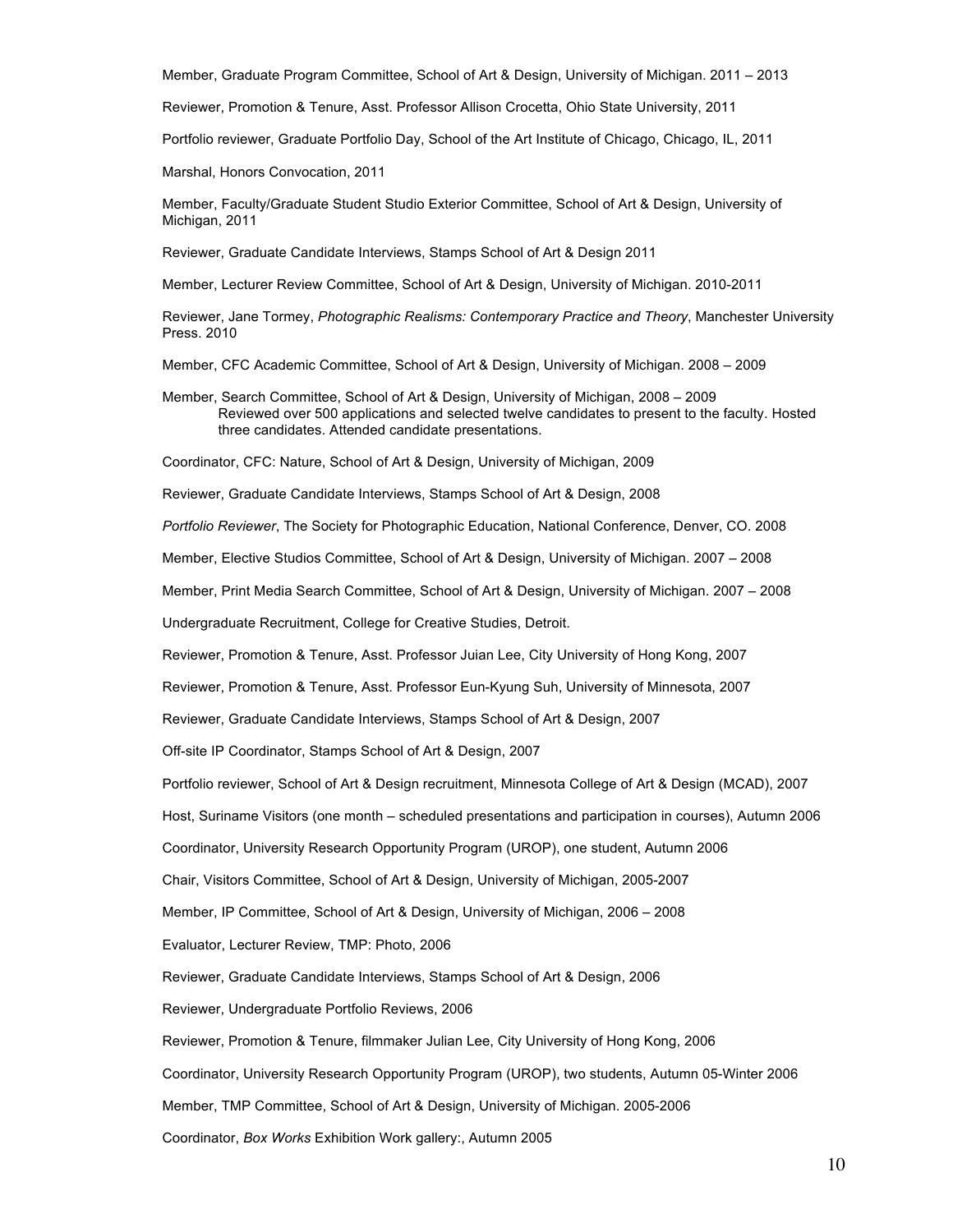Member, Graduate Program Committee, School of Art & Design, University of Michigan. 2011 – 2013

Reviewer, Promotion & Tenure, Asst. Professor Allison Crocetta, Ohio State University, 2011

Portfolio reviewer, Graduate Portfolio Day, School of the Art Institute of Chicago, Chicago, IL, 2011

Marshal, Honors Convocation, 2011

Member, Faculty/Graduate Student Studio Exterior Committee, School of Art & Design, University of Michigan, 2011

Reviewer, Graduate Candidate Interviews, Stamps School of Art & Design 2011

Member, Lecturer Review Committee, School of Art & Design, University of Michigan. 2010-2011

Reviewer, Jane Tormey, *Photographic Realisms: Contemporary Practice and Theory*, Manchester University Press. 2010

Member, CFC Academic Committee, School of Art & Design, University of Michigan. 2008 – 2009

Member, Search Committee, School of Art & Design, University of Michigan, 2008 – 2009 Reviewed over 500 applications and selected twelve candidates to present to the faculty. Hosted three candidates. Attended candidate presentations.

Coordinator, CFC: Nature, School of Art & Design, University of Michigan, 2009

Reviewer, Graduate Candidate Interviews, Stamps School of Art & Design, 2008

*Portfolio Reviewer*, The Society for Photographic Education, National Conference, Denver, CO. 2008

Member, Elective Studios Committee, School of Art & Design, University of Michigan. 2007 – 2008

Member, Print Media Search Committee, School of Art & Design, University of Michigan. 2007 – 2008

Undergraduate Recruitment, College for Creative Studies, Detroit.

Reviewer, Promotion & Tenure, Asst. Professor Juian Lee, City University of Hong Kong, 2007

Reviewer, Promotion & Tenure, Asst. Professor Eun-Kyung Suh, University of Minnesota, 2007

Reviewer, Graduate Candidate Interviews, Stamps School of Art & Design, 2007

Off-site IP Coordinator, Stamps School of Art & Design, 2007

Portfolio reviewer, School of Art & Design recruitment, Minnesota College of Art & Design (MCAD), 2007

Host, Suriname Visitors (one month – scheduled presentations and participation in courses), Autumn 2006

Coordinator, University Research Opportunity Program (UROP), one student, Autumn 2006

Chair, Visitors Committee, School of Art & Design, University of Michigan, 2005-2007

Member, IP Committee, School of Art & Design, University of Michigan, 2006 – 2008

Evaluator, Lecturer Review, TMP: Photo, 2006

Reviewer, Graduate Candidate Interviews, Stamps School of Art & Design, 2006

Reviewer, Undergraduate Portfolio Reviews, 2006

Reviewer, Promotion & Tenure, filmmaker Julian Lee, City University of Hong Kong, 2006

Coordinator, University Research Opportunity Program (UROP), two students, Autumn 05-Winter 2006

Member, TMP Committee, School of Art & Design, University of Michigan. 2005-2006

Coordinator, *Box Works* Exhibition Work gallery:, Autumn 2005